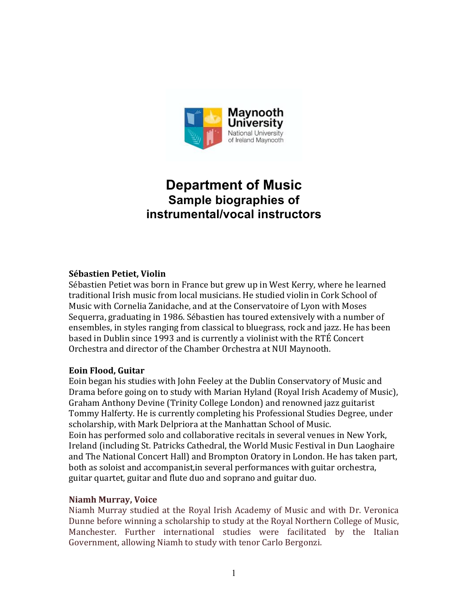

# **Department of Music Sample biographies of instrumental/vocal instructors**

# **Sébastien Petiet, Violin**

Sébastien Petiet was born in France but grew up in West Kerry, where he learned traditional Irish music from local musicians. He studied violin in Cork School of Music with Cornelia Zanidache, and at the Conservatoire of Lyon with Moses Sequerra, graduating in 1986. Sébastien has toured extensively with a number of ensembles, in styles ranging from classical to bluegrass, rock and jazz. He has been based in Dublin since 1993 and is currently a violinist with the RTÉ Concert Orchestra and director of the Chamber Orchestra at NUI Maynooth.

# **Eoin Flood, Guitar**

Eoin began his studies with John Feeley at the Dublin Conservatory of Music and Drama before going on to study with Marian Hyland (Royal Irish Academy of Music), Graham Anthony Devine (Trinity College London) and renowned jazz guitarist Tommy Halferty. He is currently completing his Professional Studies Degree, under scholarship, with Mark Delpriora at the Manhattan School of Music. Eoin has performed solo and collaborative recitals in several venues in New York, Ireland (including St. Patricks Cathedral, the World Music Festival in Dun Laoghaire and The National Concert Hall) and Brompton Oratory in London. He has taken part, both as soloist and accompanist, in several performances with guitar orchestra, guitar quartet, guitar and flute duo and soprano and guitar duo.

# **Niamh Murray, Voice**

Niamh Murray studied at the Royal Irish Academy of Music and with Dr. Veronica Dunne before winning a scholarship to study at the Royal Northern College of Music, Manchester. Further international studies were facilitated by the Italian Government, allowing Niamh to study with tenor Carlo Bergonzi.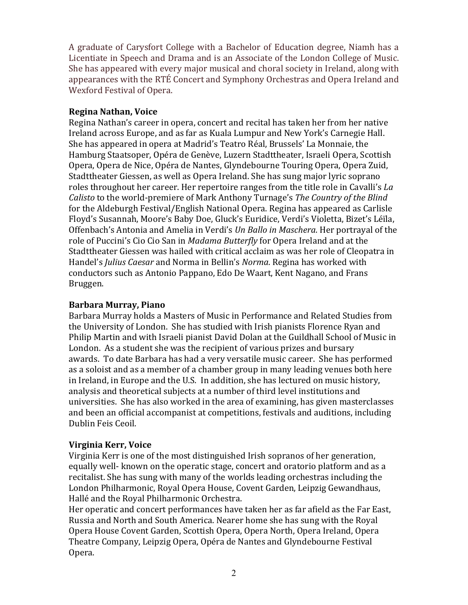A graduate of Carysfort College with a Bachelor of Education degree, Niamh has a Licentiate in Speech and Drama and is an Associate of the London College of Music. She has appeared with every major musical and choral society in Ireland, along with appearances with the RTÉ Concert and Symphony Orchestras and Opera Ireland and Wexford Festival of Opera.

# **Regina Nathan, Voice**

Regina Nathan's career in opera, concert and recital has taken her from her native Ireland across Europe, and as far as Kuala Lumpur and New York's Carnegie Hall. She has appeared in opera at Madrid's Teatro Réal, Brussels' La Monnaie, the Hamburg Staatsoper, Opéra de Genève, Luzern Stadttheater, Israeli Opera, Scottish Opera, Opera de Nice, Opéra de Nantes, Glyndebourne Touring Opera, Opera Zuid, Stadttheater Giessen, as well as Opera Ireland. She has sung major lyric soprano roles throughout her career. Her repertoire ranges from the title role in Cavalli's *La Calisto* to the world-premiere of Mark Anthony Turnage's *The Country of the Blind* for the Aldeburgh Festival/English National Opera. Regina has appeared as Carlisle Floyd's Susannah, Moore's Baby Doe, Gluck's Euridice, Verdi's Violetta, Bizet's Léïla, Offenbach's Antonia and Amelia in Verdi's *Un Ballo in Maschera*. Her portrayal of the role of Puccini's Cio Cio San in *Madama Butterfly* for Opera Ireland and at the Stadttheater Giessen was hailed with critical acclaim as was her role of Cleopatra in Handel's *Julius Caesar* and Norma in Bellin's *Norma*. Regina has worked with conductors such as Antonio Pappano, Edo De Waart, Kent Nagano, and Frans Bruggen. 

# **Barbara Murray, Piano**

Barbara Murray holds a Masters of Music in Performance and Related Studies from the University of London. She has studied with Irish pianists Florence Ryan and Philip Martin and with Israeli pianist David Dolan at the Guildhall School of Music in London. As a student she was the recipient of various prizes and bursary awards. To date Barbara has had a very versatile music career. She has performed as a soloist and as a member of a chamber group in many leading venues both here in Ireland, in Europe and the U.S. In addition, she has lectured on music history, analysis and theoretical subjects at a number of third level institutions and universities. She has also worked in the area of examining, has given masterclasses and been an official accompanist at competitions, festivals and auditions, including Dublin Feis Ceoil.

# **Virginia Kerr, Voice**

Virginia Kerr is one of the most distinguished Irish sopranos of her generation, equally well- known on the operatic stage, concert and oratorio platform and as a recitalist. She has sung with many of the worlds leading orchestras including the London Philharmonic, Royal Opera House, Covent Garden, Leipzig Gewandhaus, Hallé and the Royal Philharmonic Orchestra.

Her operatic and concert performances have taken her as far afield as the Far East, Russia and North and South America. Nearer home she has sung with the Royal Opera House Covent Garden, Scottish Opera, Opera North, Opera Ireland, Opera Theatre Company, Leipzig Opera, Opéra de Nantes and Glyndebourne Festival Opera.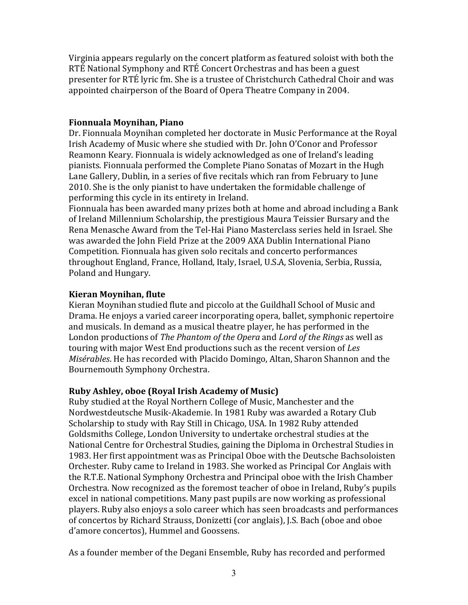Virginia appears regularly on the concert platform as featured soloist with both the RTÉ National Symphony and RTÉ Concert Orchestras and has been a guest presenter for RTÉ lyric fm. She is a trustee of Christchurch Cathedral Choir and was appointed chairperson of the Board of Opera Theatre Company in 2004.

#### **Fionnuala Moynihan, Piano**

Dr. Fionnuala Moynihan completed her doctorate in Music Performance at the Royal Irish Academy of Music where she studied with Dr. John O'Conor and Professor Reamonn Keary. Fionnuala is widely acknowledged as one of Ireland's leading pianists. Fionnuala performed the Complete Piano Sonatas of Mozart in the Hugh Lane Gallery, Dublin, in a series of five recitals which ran from February to June 2010. She is the only pianist to have undertaken the formidable challenge of performing this cycle in its entirety in Ireland.

Fionnuala has been awarded many prizes both at home and abroad including a Bank of Ireland Millennium Scholarship, the prestigious Maura Teissier Bursary and the Rena Menasche Award from the Tel-Hai Piano Masterclass series held in Israel. She was awarded the John Field Prize at the 2009 AXA Dublin International Piano Competition. Fionnuala has given solo recitals and concerto performances throughout England, France, Holland, Italy, Israel, U.S.A, Slovenia, Serbia, Russia, Poland and Hungary.

#### **Kieran Moynihan, flute**

Kieran Moynihan studied flute and piccolo at the Guildhall School of Music and Drama. He enjoys a varied career incorporating opera, ballet, symphonic repertoire and musicals. In demand as a musical theatre player, he has performed in the London productions of *The Phantom of the Opera* and *Lord of the Rings* as well as touring with major West End productions such as the recent version of *Les Misérables*. He has recorded with Placido Domingo, Altan, Sharon Shannon and the Bournemouth Symphony Orchestra.

# **Ruby Ashley, oboe (Royal Irish Academy of Music)**

Ruby studied at the Royal Northern College of Music, Manchester and the Nordwestdeutsche Musik-Akademie. In 1981 Ruby was awarded a Rotary Club Scholarship to study with Ray Still in Chicago, USA. In 1982 Ruby attended Goldsmiths College, London University to undertake orchestral studies at the National Centre for Orchestral Studies, gaining the Diploma in Orchestral Studies in 1983. Her first appointment was as Principal Oboe with the Deutsche Bachsoloisten Orchester. Ruby came to Ireland in 1983. She worked as Principal Cor Anglais with the R.T.E. National Symphony Orchestra and Principal oboe with the Irish Chamber Orchestra. Now recognized as the foremost teacher of oboe in Ireland, Ruby's pupils excel in national competitions. Many past pupils are now working as professional players. Ruby also enjoys a solo career which has seen broadcasts and performances of concertos by Richard Strauss, Donizetti (cor anglais), J.S. Bach (oboe and oboe d'amore concertos), Hummel and Goossens.

As a founder member of the Degani Ensemble, Ruby has recorded and performed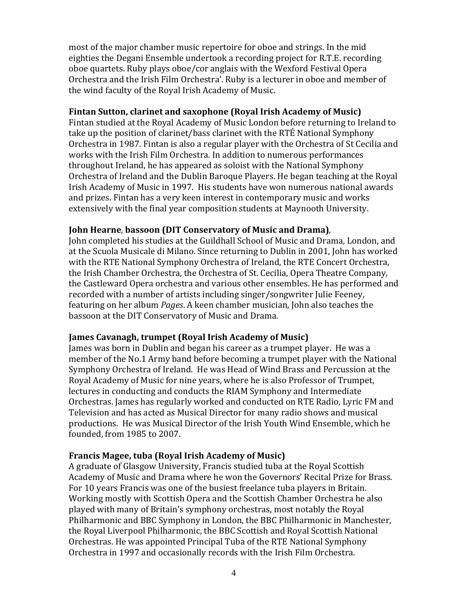most of the major chamber music repertoire for oboe and strings. In the mid eighties the Degani Ensemble undertook a recording project for R.T.E. recording oboe quartets. Ruby plays oboe/cor anglais with the Wexford Festival Opera Orchestra and the Irish Film Orchestra'. Ruby is a lecturer in oboe and member of the wind faculty of the Royal Irish Academy of Music.

# **Fintan Sutton, clarinet and saxophone (Royal Irish Academy of Music)**

Fintan studied at the Royal Academy of Music London before returning to Ireland to take up the position of clarinet/bass clarinet with the RTÉ National Symphony Orchestra in 1987. Fintan is also a regular player with the Orchestra of St Cecilia and works with the Irish Film Orchestra. In addition to numerous performances throughout Ireland, he has appeared as soloist with the National Symphony Orchestra of Ireland and the Dublin Baroque Players. He began teaching at the Royal Irish Academy of Music in 1997. His students have won numerous national awards and prizes. Fintan has a very keen interest in contemporary music and works extensively with the final year composition students at Maynooth University.

# **John Hearne**, **bassoon (DIT Conservatory of Music and Drama)**,

John completed his studies at the Guildhall School of Music and Drama, London, and at the Scuola Musicale di Milano. Since returning to Dublin in 2001, John has worked with the RTE National Symphony Orchestra of Ireland, the RTE Concert Orchestra, the Irish Chamber Orchestra, the Orchestra of St. Cecilia, Opera Theatre Company, the Castleward Opera orchestra and various other ensembles. He has performed and recorded with a number of artists including singer/songwriter Julie Feeney, featuring on her album *Pages*. A keen chamber musician, John also teaches the bassoon at the DIT Conservatory of Music and Drama.

# **James Cavanagh, trumpet (Royal Irish Academy of Music)**

James was born in Dublin and began his career as a trumpet player. He was a member of the No.1 Army band before becoming a trumpet player with the National Symphony Orchestra of Ireland. He was Head of Wind Brass and Percussion at the Royal Academy of Music for nine years, where he is also Professor of Trumpet, lectures in conducting and conducts the RIAM Symphony and Intermediate Orchestras. James has regularly worked and conducted on RTE Radio, Lyric FM and Television and has acted as Musical Director for many radio shows and musical productions. He was Musical Director of the Irish Youth Wind Ensemble, which he founded, from 1985 to 2007.

# **Francis Magee, tuba (Royal Irish Academy of Music)**

A graduate of Glasgow University, Francis studied tuba at the Royal Scottish Academy of Music and Drama where he won the Governors' Recital Prize for Brass. For 10 years Francis was one of the busiest freelance tuba players in Britain. Working mostly with Scottish Opera and the Scottish Chamber Orchestra he also played with many of Britain's symphony orchestras, most notably the Royal Philharmonic and BBC Symphony in London, the BBC Philharmonic in Manchester, the Royal Liverpool Philharmonic, the BBC Scottish and Royal Scottish National Orchestras. He was appointed Principal Tuba of the RTE National Symphony Orchestra in 1997 and occasionally records with the Irish Film Orchestra.